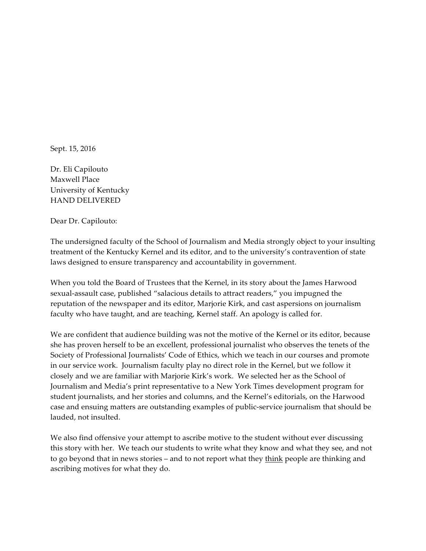Sept. 15, 2016

Dr. Eli Capilouto Maxwell Place University of Kentucky HAND DELIVERED

Dear Dr. Capilouto:

The undersigned faculty of the School of Journalism and Media strongly object to your insulting treatment of the Kentucky Kernel and its editor, and to the university's contravention of state laws designed to ensure transparency and accountability in government.

When you told the Board of Trustees that the Kernel, in its story about the James Harwood sexual-assault case, published "salacious details to attract readers," you impugned the reputation of the newspaper and its editor, Marjorie Kirk, and cast aspersions on journalism faculty who have taught, and are teaching, Kernel staff. An apology is called for.

We are confident that audience building was not the motive of the Kernel or its editor, because she has proven herself to be an excellent, professional journalist who observes the tenets of the Society of Professional Journalists' Code of Ethics, which we teach in our courses and promote in our service work. Journalism faculty play no direct role in the Kernel, but we follow it closely and we are familiar with Marjorie Kirk's work. We selected her as the School of Journalism and Media's print representative to a New York Times development program for student journalists, and her stories and columns, and the Kernel's editorials, on the Harwood case and ensuing matters are outstanding examples of public-service journalism that should be lauded, not insulted.

We also find offensive your attempt to ascribe motive to the student without ever discussing this story with her. We teach our students to write what they know and what they see, and not to go beyond that in news stories - and to not report what they think people are thinking and ascribing motives for what they do.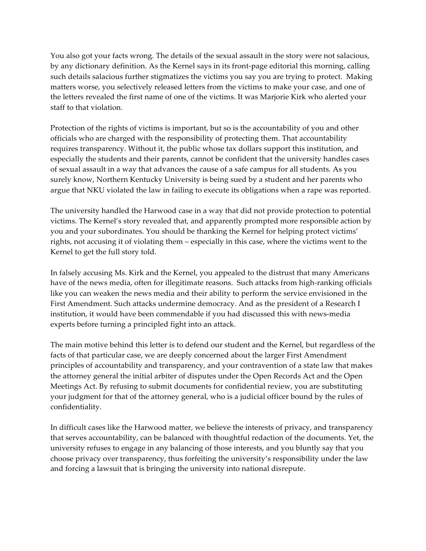You also got your facts wrong. The details of the sexual assault in the story were not salacious, by any dictionary definition. As the Kernel says in its front-page editorial this morning, calling such details salacious further stigmatizes the victims you say you are trying to protect. Making matters worse, you selectively released letters from the victims to make your case, and one of the letters revealed the first name of one of the victims. It was Marjorie Kirk who alerted your staff to that violation.

Protection of the rights of victims is important, but so is the accountability of you and other officials who are charged with the responsibility of protecting them. That accountability requires transparency. Without it, the public whose tax dollars support this institution, and especially the students and their parents, cannot be confident that the university handles cases of sexual assault in a way that advances the cause of a safe campus for all students. As you surely know, Northern Kentucky University is being sued by a student and her parents who argue that NKU violated the law in failing to execute its obligations when a rape was reported.

The university handled the Harwood case in a way that did not provide protection to potential victims. The Kernel's story revealed that, and apparently prompted more responsible action by you and your subordinates. You should be thanking the Kernel for helping protect victims' rights, not accusing it of violating them – especially in this case, where the victims went to the Kernel to get the full story told.

In falsely accusing Ms. Kirk and the Kernel, you appealed to the distrust that many Americans have of the news media, often for illegitimate reasons. Such attacks from high-ranking officials like you can weaken the news media and their ability to perform the service envisioned in the First Amendment. Such attacks undermine democracy. And as the president of a Research I institution, it would have been commendable if you had discussed this with news-media experts before turning a principled fight into an attack.

The main motive behind this letter is to defend our student and the Kernel, but regardless of the facts of that particular case, we are deeply concerned about the larger First Amendment principles of accountability and transparency, and your contravention of a state law that makes the attorney general the initial arbiter of disputes under the Open Records Act and the Open Meetings Act. By refusing to submit documents for confidential review, you are substituting your judgment for that of the attorney general, who is a judicial officer bound by the rules of confidentiality.

In difficult cases like the Harwood matter, we believe the interests of privacy, and transparency that serves accountability, can be balanced with thoughtful redaction of the documents. Yet, the university refuses to engage in any balancing of those interests, and you bluntly say that you choose privacy over transparency, thus forfeiting the university's responsibility under the law and forcing a lawsuit that is bringing the university into national disrepute.